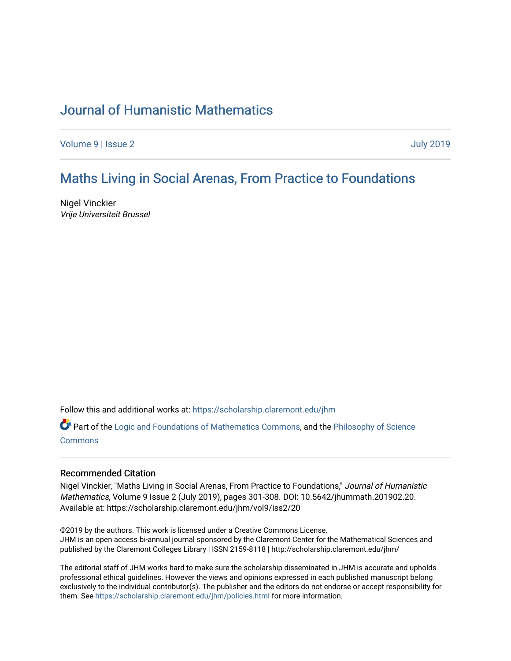# [Journal of Humanistic Mathematics](https://scholarship.claremont.edu/jhm)

[Volume 9](https://scholarship.claremont.edu/jhm/vol9) | [Issue 2](https://scholarship.claremont.edu/jhm/vol9/iss2) [July 2019](https://scholarship.claremont.edu/jhm/vol9/iss2) 

# [Maths Living in Social Ar](https://scholarship.claremont.edu/jhm/vol9/iss2/20)enas, From Practice to Foundations

Nigel Vinckier Vrije Universiteit Brussel

Follow this and additional works at: [https://scholarship.claremont.edu/jhm](https://scholarship.claremont.edu/jhm?utm_source=scholarship.claremont.edu%2Fjhm%2Fvol9%2Fiss2%2F20&utm_medium=PDF&utm_campaign=PDFCoverPages)

Part of the [Logic and Foundations of Mathematics Commons,](http://network.bepress.com/hgg/discipline/532?utm_source=scholarship.claremont.edu%2Fjhm%2Fvol9%2Fiss2%2F20&utm_medium=PDF&utm_campaign=PDFCoverPages) and the Philosophy of Science [Commons](http://network.bepress.com/hgg/discipline/536?utm_source=scholarship.claremont.edu%2Fjhm%2Fvol9%2Fiss2%2F20&utm_medium=PDF&utm_campaign=PDFCoverPages)

#### Recommended Citation

Nigel Vinckier, "Maths Living in Social Arenas, From Practice to Foundations," Journal of Humanistic Mathematics, Volume 9 Issue 2 (July 2019), pages 301-308. DOI: 10.5642/jhummath.201902.20. Available at: https://scholarship.claremont.edu/jhm/vol9/iss2/20

©2019 by the authors. This work is licensed under a Creative Commons License. JHM is an open access bi-annual journal sponsored by the Claremont Center for the Mathematical Sciences and published by the Claremont Colleges Library | ISSN 2159-8118 | http://scholarship.claremont.edu/jhm/

The editorial staff of JHM works hard to make sure the scholarship disseminated in JHM is accurate and upholds professional ethical guidelines. However the views and opinions expressed in each published manuscript belong exclusively to the individual contributor(s). The publisher and the editors do not endorse or accept responsibility for them. See<https://scholarship.claremont.edu/jhm/policies.html> for more information.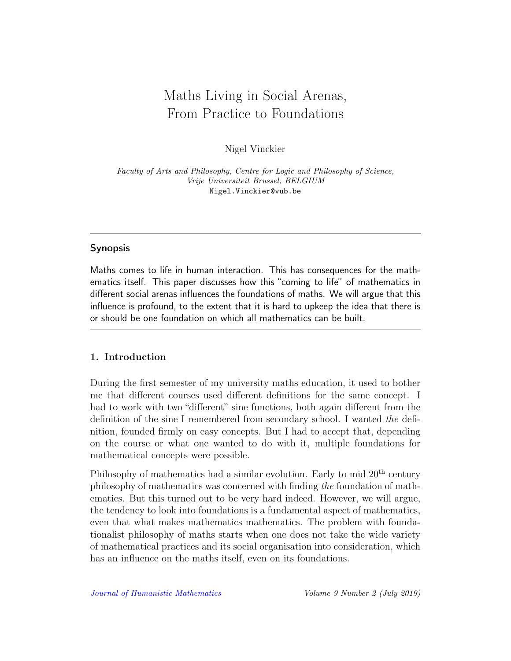# Maths Living in Social Arenas, From Practice to Foundations

Nigel Vinckier

Faculty of Arts and Philosophy, Centre for Logic and Philosophy of Science, Vrije Universiteit Brussel, BELGIUM Nigel.Vinckier@vub.be

# Synopsis

Maths comes to life in human interaction. This has consequences for the mathematics itself. This paper discusses how this "coming to life" of mathematics in different social arenas influences the foundations of maths. We will argue that this influence is profound, to the extent that it is hard to upkeep the idea that there is or should be one foundation on which all mathematics can be built.

# 1. Introduction

During the first semester of my university maths education, it used to bother me that different courses used different definitions for the same concept. I had to work with two "different" sine functions, both again different from the definition of the sine I remembered from secondary school. I wanted the definition, founded firmly on easy concepts. But I had to accept that, depending on the course or what one wanted to do with it, multiple foundations for mathematical concepts were possible.

Philosophy of mathematics had a similar evolution. Early to mid  $20<sup>th</sup>$  century philosophy of mathematics was concerned with finding the foundation of mathematics. But this turned out to be very hard indeed. However, we will argue, the tendency to look into foundations is a fundamental aspect of mathematics, even that what makes mathematics mathematics. The problem with foundationalist philosophy of maths starts when one does not take the wide variety of mathematical practices and its social organisation into consideration, which has an influence on the maths itself, even on its foundations.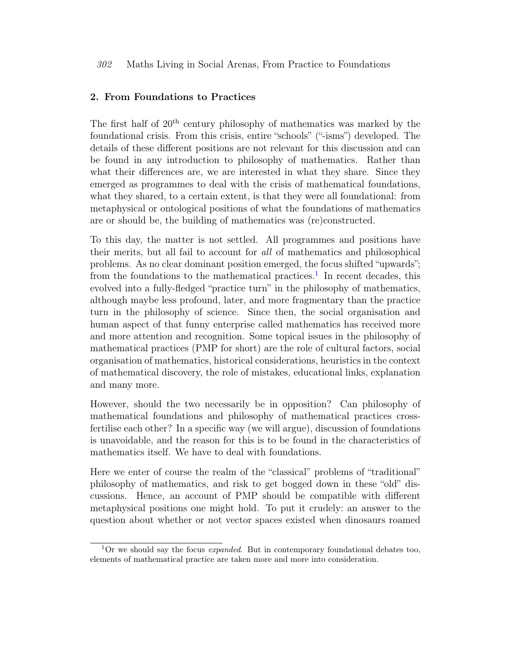#### 302 Maths Living in Social Arenas, From Practice to Foundations

## 2. From Foundations to Practices

The first half of  $20<sup>th</sup>$  century philosophy of mathematics was marked by the foundational crisis. From this crisis, entire "schools" ("-isms") developed. The details of these different positions are not relevant for this discussion and can be found in any introduction to philosophy of mathematics. Rather than what their differences are, we are interested in what they share. Since they emerged as programmes to deal with the crisis of mathematical foundations, what they shared, to a certain extent, is that they were all foundational: from metaphysical or ontological positions of what the foundations of mathematics are or should be, the building of mathematics was (re)constructed.

To this day, the matter is not settled. All programmes and positions have their merits, but all fail to account for all of mathematics and philosophical problems. As no clear dominant position emerged, the focus shifted "upwards"; from the foundations to the mathematical practices.<sup>[1](#page-2-0)</sup> In recent decades, this evolved into a fully-fledged "practice turn" in the philosophy of mathematics, although maybe less profound, later, and more fragmentary than the practice turn in the philosophy of science. Since then, the social organisation and human aspect of that funny enterprise called mathematics has received more and more attention and recognition. Some topical issues in the philosophy of mathematical practices (PMP for short) are the role of cultural factors, social organisation of mathematics, historical considerations, heuristics in the context of mathematical discovery, the role of mistakes, educational links, explanation and many more.

However, should the two necessarily be in opposition? Can philosophy of mathematical foundations and philosophy of mathematical practices crossfertilise each other? In a specific way (we will argue), discussion of foundations is unavoidable, and the reason for this is to be found in the characteristics of mathematics itself. We have to deal with foundations.

Here we enter of course the realm of the "classical" problems of "traditional" philosophy of mathematics, and risk to get bogged down in these "old" discussions. Hence, an account of PMP should be compatible with different metaphysical positions one might hold. To put it crudely: an answer to the question about whether or not vector spaces existed when dinosaurs roamed

<span id="page-2-0"></span> $1$ Or we should say the focus *expanded*. But in contemporary foundational debates too, elements of mathematical practice are taken more and more into consideration.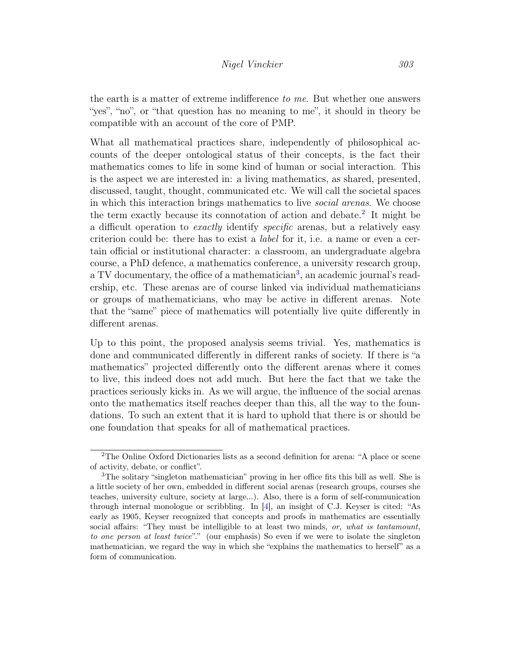the earth is a matter of extreme indifference to me. But whether one answers "yes", "no", or "that question has no meaning to me", it should in theory be compatible with an account of the core of PMP.

What all mathematical practices share, independently of philosophical accounts of the deeper ontological status of their concepts, is the fact their mathematics comes to life in some kind of human or social interaction. This is the aspect we are interested in: a living mathematics, as shared, presented, discussed, taught, thought, communicated etc. We will call the societal spaces in which this interaction brings mathematics to live social arenas. We choose the term exactly because its connotation of action and debate.<sup>[2](#page-3-0)</sup> It might be a difficult operation to *exactly* identify *specific* arenas, but a relatively easy criterion could be: there has to exist a label for it, i.e. a name or even a certain official or institutional character: a classroom, an undergraduate algebra course, a PhD defence, a mathematics conference, a university research group, a TV documentary, the office of a mathematician<sup>[3](#page-3-1)</sup>, an academic journal's readership, etc. These arenas are of course linked via individual mathematicians or groups of mathematicians, who may be active in different arenas. Note that the "same" piece of mathematics will potentially live quite differently in different arenas.

Up to this point, the proposed analysis seems trivial. Yes, mathematics is done and communicated differently in different ranks of society. If there is "a mathematics" projected differently onto the different arenas where it comes to live, this indeed does not add much. But here the fact that we take the practices seriously kicks in. As we will argue, the influence of the social arenas onto the mathematics itself reaches deeper than this, all the way to the foundations. To such an extent that it is hard to uphold that there is or should be one foundation that speaks for all of mathematical practices.

<span id="page-3-0"></span><sup>2</sup>The Online Oxford Dictionaries lists as a second definition for arena: "A place or scene of activity, debate, or conflict".

<span id="page-3-1"></span><sup>3</sup>The solitary "singleton mathematician" proving in her office fits this bill as well. She is a little society of her own, embedded in different social arenas (research groups, courses she teaches, university culture, society at large...). Also, there is a form of self-communication through internal monologue or scribbling. In [\[4\]](#page-8-0), an insight of C.J. Keyser is cited: "As early as 1905, Keyser recognized that concepts and proofs in mathematics are essentially social affairs: "They must be intelligible to at least two minds, or, what is tantamount, to one person at least twice"." (our emphasis) So even if we were to isolate the singleton mathematician, we regard the way in which she "explains the mathematics to herself" as a form of communication.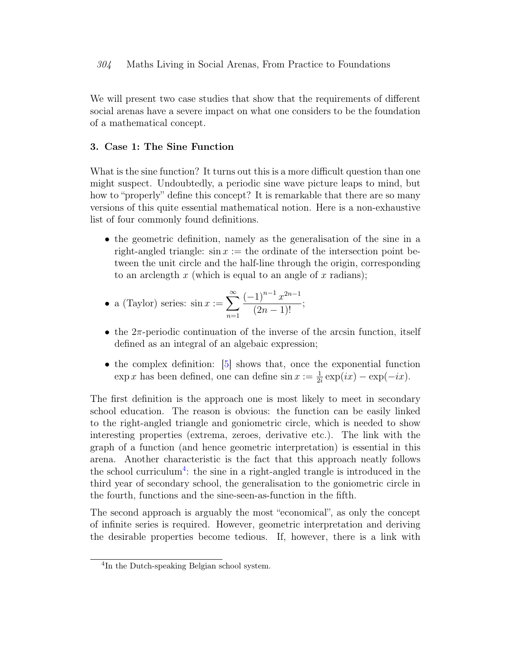#### 304 Maths Living in Social Arenas, From Practice to Foundations

We will present two case studies that show that the requirements of different social arenas have a severe impact on what one considers to be the foundation of a mathematical concept.

## 3. Case 1: The Sine Function

What is the sine function? It turns out this is a more difficult question than one might suspect. Undoubtedly, a periodic sine wave picture leaps to mind, but how to "properly" define this concept? It is remarkable that there are so many versions of this quite essential mathematical notion. Here is a non-exhaustive list of four commonly found definitions.

• the geometric definition, namely as the generalisation of the sine in a right-angled triangle:  $\sin x :=$  the ordinate of the intersection point between the unit circle and the half-line through the origin, corresponding to an arclength  $x$  (which is equal to an angle of  $x$  radians);

• a (Taylor) series: 
$$
\sin x := \sum_{n=1}^{\infty} \frac{(-1)^{n-1} x^{2n-1}}{(2n-1)!}
$$
;

- the  $2\pi$ -periodic continuation of the inverse of the arcsin function, itself defined as an integral of an algebaic expression;
- the complex definition: [\[5\]](#page-8-1) shows that, once the exponential function  $\exp x$  has been defined, one can define  $\sin x := \frac{1}{2i} \exp(ix) - \exp(-ix)$ .

The first definition is the approach one is most likely to meet in secondary school education. The reason is obvious: the function can be easily linked to the right-angled triangle and goniometric circle, which is needed to show interesting properties (extrema, zeroes, derivative etc.). The link with the graph of a function (and hence geometric interpretation) is essential in this arena. Another characteristic is the fact that this approach neatly follows the school curriculum<sup>[4](#page-4-0)</sup>: the sine in a right-angled trangle is introduced in the third year of secondary school, the generalisation to the goniometric circle in the fourth, functions and the sine-seen-as-function in the fifth.

The second approach is arguably the most "economical", as only the concept of infinite series is required. However, geometric interpretation and deriving the desirable properties become tedious. If, however, there is a link with

<span id="page-4-0"></span><sup>4</sup> In the Dutch-speaking Belgian school system.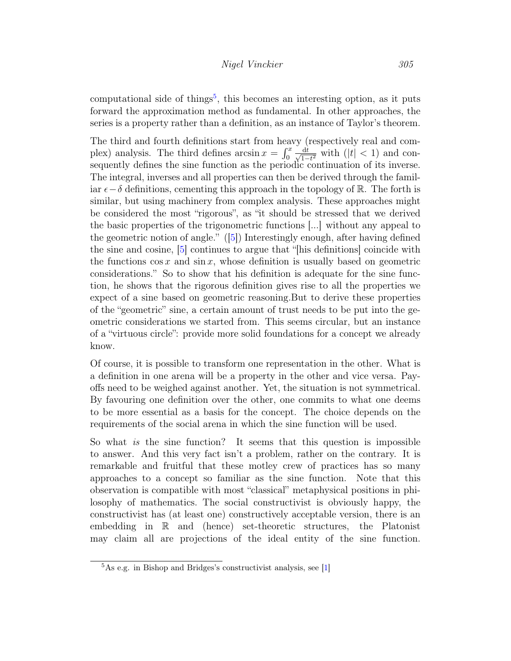computational side of things<sup>[5](#page-5-0)</sup>, this becomes an interesting option, as it puts forward the approximation method as fundamental. In other approaches, the series is a property rather than a definition, as an instance of Taylor's theorem.

The third and fourth definitions start from heavy (respectively real and complex) analysis. The third defines  $\arcsin x = \int_0^x \frac{dt}{\sqrt{1-t}}$  $\frac{dt}{1-t^2}$  with  $(|t| < 1)$  and consequently defines the sine function as the periodic continuation of its inverse. The integral, inverses and all properties can then be derived through the familiar  $\epsilon-\delta$  definitions, cementing this approach in the topology of R. The forth is similar, but using machinery from complex analysis. These approaches might be considered the most "rigorous", as "it should be stressed that we derived the basic properties of the trigonometric functions [...] without any appeal to the geometric notion of angle." ([\[5\]](#page-8-1)) Interestingly enough, after having defined the sine and cosine, [\[5\]](#page-8-1) continues to argue that "[his definitions] coincide with the functions  $\cos x$  and  $\sin x$ , whose definition is usually based on geometric considerations." So to show that his definition is adequate for the sine function, he shows that the rigorous definition gives rise to all the properties we expect of a sine based on geometric reasoning.But to derive these properties of the "geometric" sine, a certain amount of trust needs to be put into the geometric considerations we started from. This seems circular, but an instance of a "virtuous circle": provide more solid foundations for a concept we already know.

Of course, it is possible to transform one representation in the other. What is a definition in one arena will be a property in the other and vice versa. Payoffs need to be weighed against another. Yet, the situation is not symmetrical. By favouring one definition over the other, one commits to what one deems to be more essential as a basis for the concept. The choice depends on the requirements of the social arena in which the sine function will be used.

So what is the sine function? It seems that this question is impossible to answer. And this very fact isn't a problem, rather on the contrary. It is remarkable and fruitful that these motley crew of practices has so many approaches to a concept so familiar as the sine function. Note that this observation is compatible with most "classical" metaphysical positions in philosophy of mathematics. The social constructivist is obviously happy, the constructivist has (at least one) constructively acceptable version, there is an embedding in R and (hence) set-theoretic structures, the Platonist may claim all are projections of the ideal entity of the sine function.

<span id="page-5-0"></span> ${}^{5}$ As e.g. in Bishop and Bridges's constructivist analysis, see [\[1\]](#page-8-2)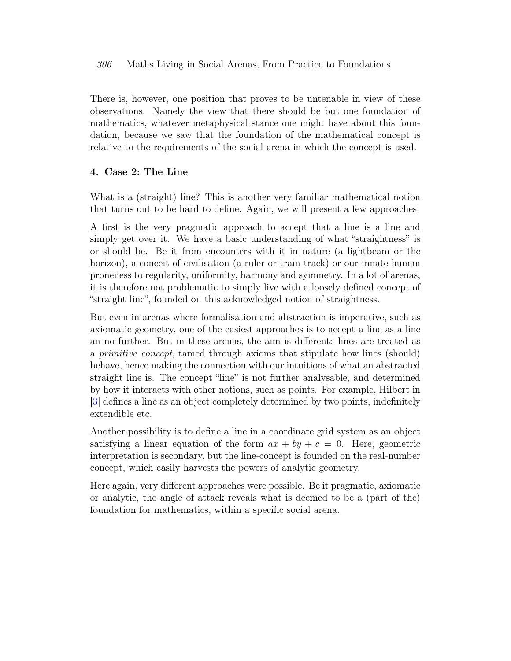#### 306 Maths Living in Social Arenas, From Practice to Foundations

There is, however, one position that proves to be untenable in view of these observations. Namely the view that there should be but one foundation of mathematics, whatever metaphysical stance one might have about this foundation, because we saw that the foundation of the mathematical concept is relative to the requirements of the social arena in which the concept is used.

# 4. Case 2: The Line

What is a (straight) line? This is another very familiar mathematical notion that turns out to be hard to define. Again, we will present a few approaches.

A first is the very pragmatic approach to accept that a line is a line and simply get over it. We have a basic understanding of what "straightness" is or should be. Be it from encounters with it in nature (a lightbeam or the horizon), a conceit of civilisation (a ruler or train track) or our innate human proneness to regularity, uniformity, harmony and symmetry. In a lot of arenas, it is therefore not problematic to simply live with a loosely defined concept of "straight line", founded on this acknowledged notion of straightness.

But even in arenas where formalisation and abstraction is imperative, such as axiomatic geometry, one of the easiest approaches is to accept a line as a line an no further. But in these arenas, the aim is different: lines are treated as a primitive concept, tamed through axioms that stipulate how lines (should) behave, hence making the connection with our intuitions of what an abstracted straight line is. The concept "line" is not further analysable, and determined by how it interacts with other notions, such as points. For example, Hilbert in [\[3\]](#page-8-3) defines a line as an object completely determined by two points, indefinitely extendible etc.

Another possibility is to define a line in a coordinate grid system as an object satisfying a linear equation of the form  $ax + by + c = 0$ . Here, geometric interpretation is secondary, but the line-concept is founded on the real-number concept, which easily harvests the powers of analytic geometry.

Here again, very different approaches were possible. Be it pragmatic, axiomatic or analytic, the angle of attack reveals what is deemed to be a (part of the) foundation for mathematics, within a specific social arena.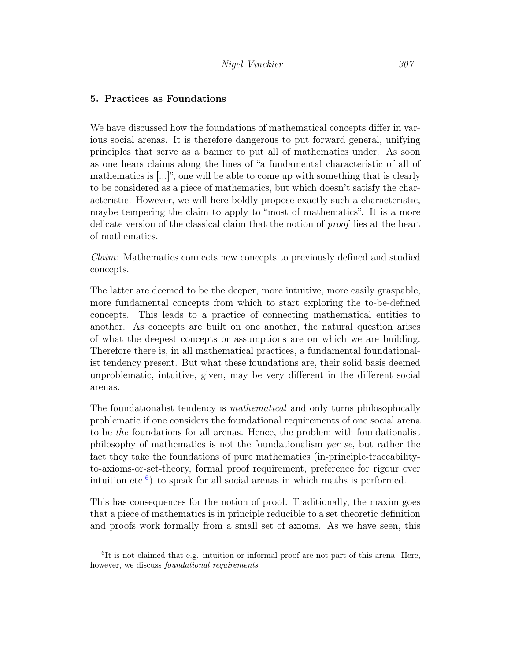#### 5. Practices as Foundations

We have discussed how the foundations of mathematical concepts differ in various social arenas. It is therefore dangerous to put forward general, unifying principles that serve as a banner to put all of mathematics under. As soon as one hears claims along the lines of "a fundamental characteristic of all of mathematics is [...]", one will be able to come up with something that is clearly to be considered as a piece of mathematics, but which doesn't satisfy the characteristic. However, we will here boldly propose exactly such a characteristic, maybe tempering the claim to apply to "most of mathematics". It is a more delicate version of the classical claim that the notion of proof lies at the heart of mathematics.

Claim: Mathematics connects new concepts to previously defined and studied concepts.

The latter are deemed to be the deeper, more intuitive, more easily graspable, more fundamental concepts from which to start exploring the to-be-defined concepts. This leads to a practice of connecting mathematical entities to another. As concepts are built on one another, the natural question arises of what the deepest concepts or assumptions are on which we are building. Therefore there is, in all mathematical practices, a fundamental foundationalist tendency present. But what these foundations are, their solid basis deemed unproblematic, intuitive, given, may be very different in the different social arenas.

The foundationalist tendency is *mathematical* and only turns philosophically problematic if one considers the foundational requirements of one social arena to be the foundations for all arenas. Hence, the problem with foundationalist philosophy of mathematics is not the foundationalism per se, but rather the fact they take the foundations of pure mathematics (in-principle-traceabilityto-axioms-or-set-theory, formal proof requirement, preference for rigour over intuition etc.<sup>[6](#page-7-0)</sup>) to speak for all social arenas in which maths is performed.

This has consequences for the notion of proof. Traditionally, the maxim goes that a piece of mathematics is in principle reducible to a set theoretic definition and proofs work formally from a small set of axioms. As we have seen, this

<span id="page-7-0"></span><sup>&</sup>lt;sup>6</sup>It is not claimed that e.g. intuition or informal proof are not part of this arena. Here, however, we discuss foundational requirements.